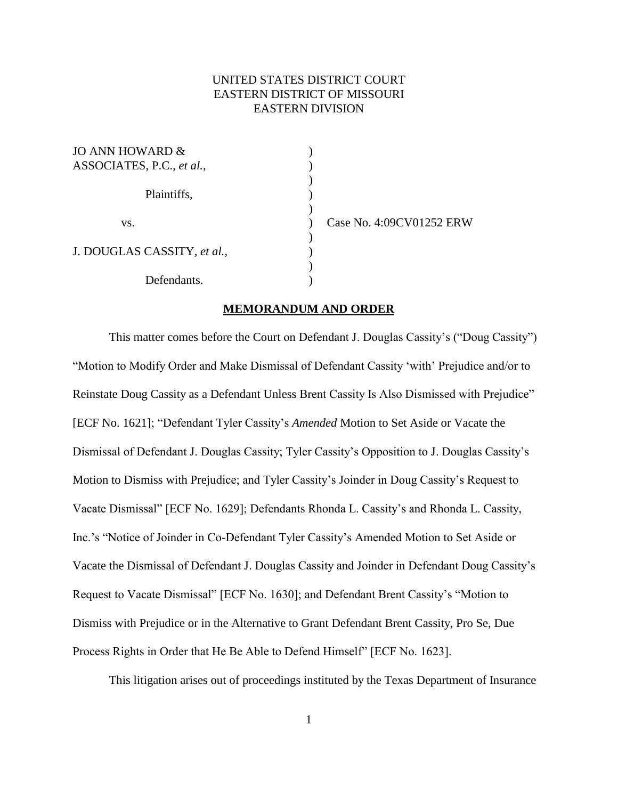## UNITED STATES DISTRICT COURT EASTERN DISTRICT OF MISSOURI EASTERN DIVISION

| JO ANN HOWARD $\&$<br>ASSOCIATES, P.C., et al., |  |
|-------------------------------------------------|--|
| Plaintiffs,                                     |  |
| VS.                                             |  |
| J. DOUGLAS CASSITY, et al.,                     |  |
| Defendants.                                     |  |

Case No. 4:09CV01252 ERW

## **MEMORANDUM AND ORDER**

This matter comes before the Court on Defendant J. Douglas Cassity"s ("Doug Cassity") "Motion to Modify Order and Make Dismissal of Defendant Cassity 'with' Prejudice and/or to Reinstate Doug Cassity as a Defendant Unless Brent Cassity Is Also Dismissed with Prejudice" [ECF No. 1621]; "Defendant Tyler Cassity"s *Amended* Motion to Set Aside or Vacate the Dismissal of Defendant J. Douglas Cassity; Tyler Cassity"s Opposition to J. Douglas Cassity"s Motion to Dismiss with Prejudice; and Tyler Cassity"s Joinder in Doug Cassity"s Request to Vacate Dismissal" [ECF No. 1629]; Defendants Rhonda L. Cassity"s and Rhonda L. Cassity, Inc."s "Notice of Joinder in Co-Defendant Tyler Cassity"s Amended Motion to Set Aside or Vacate the Dismissal of Defendant J. Douglas Cassity and Joinder in Defendant Doug Cassity"s Request to Vacate Dismissal" [ECF No. 1630]; and Defendant Brent Cassity"s "Motion to Dismiss with Prejudice or in the Alternative to Grant Defendant Brent Cassity, Pro Se, Due Process Rights in Order that He Be Able to Defend Himself" [ECF No. 1623].

This litigation arises out of proceedings instituted by the Texas Department of Insurance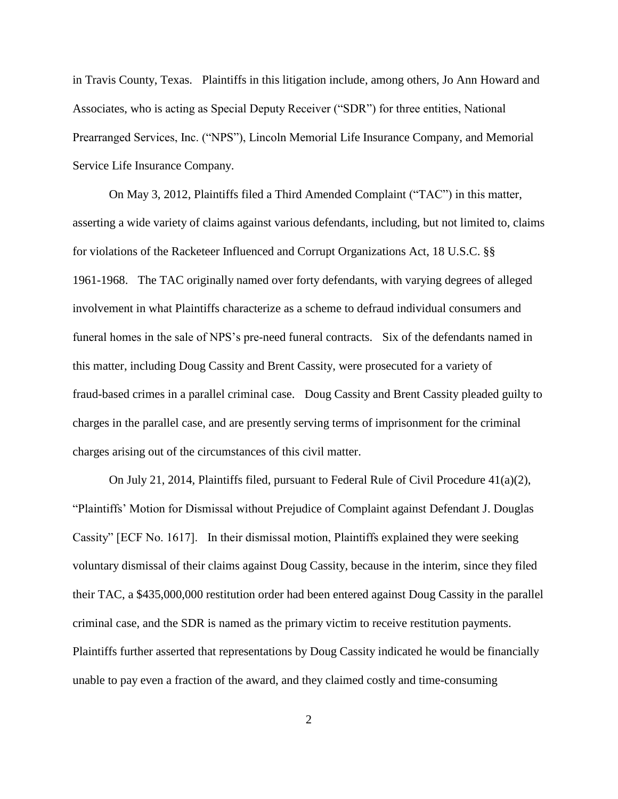in Travis County, Texas. Plaintiffs in this litigation include, among others, Jo Ann Howard and Associates, who is acting as Special Deputy Receiver ("SDR") for three entities, National Prearranged Services, Inc. ("NPS"), Lincoln Memorial Life Insurance Company, and Memorial Service Life Insurance Company.

On May 3, 2012, Plaintiffs filed a Third Amended Complaint ("TAC") in this matter, asserting a wide variety of claims against various defendants, including, but not limited to, claims for violations of the Racketeer Influenced and Corrupt Organizations Act, 18 U.S.C. §§ 1961-1968. The TAC originally named over forty defendants, with varying degrees of alleged involvement in what Plaintiffs characterize as a scheme to defraud individual consumers and funeral homes in the sale of NPS's pre-need funeral contracts. Six of the defendants named in this matter, including Doug Cassity and Brent Cassity, were prosecuted for a variety of fraud-based crimes in a parallel criminal case. Doug Cassity and Brent Cassity pleaded guilty to charges in the parallel case, and are presently serving terms of imprisonment for the criminal charges arising out of the circumstances of this civil matter.

On July 21, 2014, Plaintiffs filed, pursuant to Federal Rule of Civil Procedure  $41(a)(2)$ , "Plaintiffs" Motion for Dismissal without Prejudice of Complaint against Defendant J. Douglas Cassity" [ECF No. 1617]. In their dismissal motion, Plaintiffs explained they were seeking voluntary dismissal of their claims against Doug Cassity, because in the interim, since they filed their TAC, a \$435,000,000 restitution order had been entered against Doug Cassity in the parallel criminal case, and the SDR is named as the primary victim to receive restitution payments. Plaintiffs further asserted that representations by Doug Cassity indicated he would be financially unable to pay even a fraction of the award, and they claimed costly and time-consuming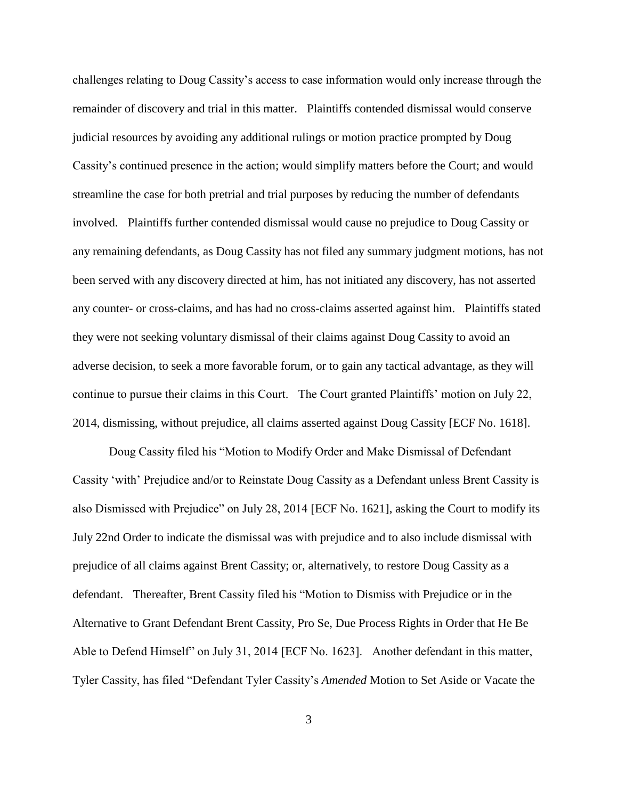challenges relating to Doug Cassity"s access to case information would only increase through the remainder of discovery and trial in this matter. Plaintiffs contended dismissal would conserve judicial resources by avoiding any additional rulings or motion practice prompted by Doug Cassity"s continued presence in the action; would simplify matters before the Court; and would streamline the case for both pretrial and trial purposes by reducing the number of defendants involved. Plaintiffs further contended dismissal would cause no prejudice to Doug Cassity or any remaining defendants, as Doug Cassity has not filed any summary judgment motions, has not been served with any discovery directed at him, has not initiated any discovery, has not asserted any counter- or cross-claims, and has had no cross-claims asserted against him. Plaintiffs stated they were not seeking voluntary dismissal of their claims against Doug Cassity to avoid an adverse decision, to seek a more favorable forum, or to gain any tactical advantage, as they will continue to pursue their claims in this Court. The Court granted Plaintiffs" motion on July 22, 2014, dismissing, without prejudice, all claims asserted against Doug Cassity [ECF No. 1618].

Doug Cassity filed his "Motion to Modify Order and Make Dismissal of Defendant Cassity "with" Prejudice and/or to Reinstate Doug Cassity as a Defendant unless Brent Cassity is also Dismissed with Prejudice" on July 28, 2014 [ECF No. 1621], asking the Court to modify its July 22nd Order to indicate the dismissal was with prejudice and to also include dismissal with prejudice of all claims against Brent Cassity; or, alternatively, to restore Doug Cassity as a defendant. Thereafter, Brent Cassity filed his "Motion to Dismiss with Prejudice or in the Alternative to Grant Defendant Brent Cassity, Pro Se, Due Process Rights in Order that He Be Able to Defend Himself" on July 31, 2014 [ECF No. 1623]. Another defendant in this matter, Tyler Cassity, has filed "Defendant Tyler Cassity"s *Amended* Motion to Set Aside or Vacate the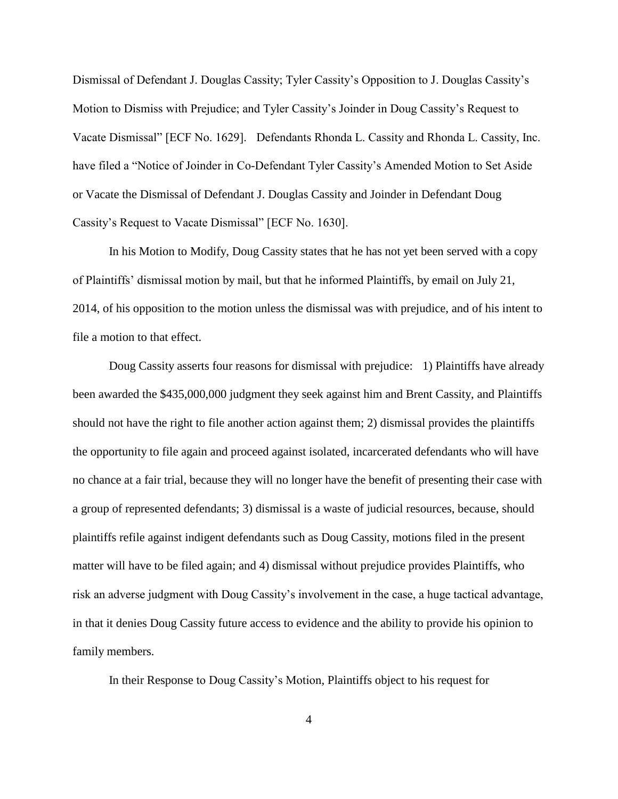Dismissal of Defendant J. Douglas Cassity; Tyler Cassity"s Opposition to J. Douglas Cassity"s Motion to Dismiss with Prejudice; and Tyler Cassity"s Joinder in Doug Cassity"s Request to Vacate Dismissal" [ECF No. 1629]. Defendants Rhonda L. Cassity and Rhonda L. Cassity, Inc. have filed a "Notice of Joinder in Co-Defendant Tyler Cassity's Amended Motion to Set Aside or Vacate the Dismissal of Defendant J. Douglas Cassity and Joinder in Defendant Doug Cassity"s Request to Vacate Dismissal" [ECF No. 1630].

In his Motion to Modify, Doug Cassity states that he has not yet been served with a copy of Plaintiffs" dismissal motion by mail, but that he informed Plaintiffs, by email on July 21, 2014, of his opposition to the motion unless the dismissal was with prejudice, and of his intent to file a motion to that effect.

Doug Cassity asserts four reasons for dismissal with prejudice: 1) Plaintiffs have already been awarded the \$435,000,000 judgment they seek against him and Brent Cassity, and Plaintiffs should not have the right to file another action against them; 2) dismissal provides the plaintiffs the opportunity to file again and proceed against isolated, incarcerated defendants who will have no chance at a fair trial, because they will no longer have the benefit of presenting their case with a group of represented defendants; 3) dismissal is a waste of judicial resources, because, should plaintiffs refile against indigent defendants such as Doug Cassity, motions filed in the present matter will have to be filed again; and 4) dismissal without prejudice provides Plaintiffs, who risk an adverse judgment with Doug Cassity"s involvement in the case, a huge tactical advantage, in that it denies Doug Cassity future access to evidence and the ability to provide his opinion to family members.

In their Response to Doug Cassity"s Motion, Plaintiffs object to his request for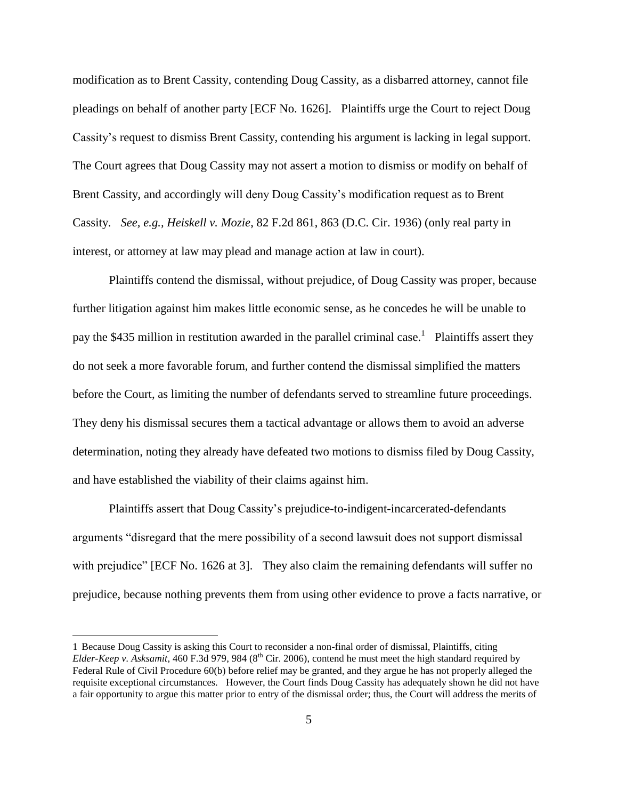modification as to Brent Cassity, contending Doug Cassity, as a disbarred attorney, cannot file pleadings on behalf of another party [ECF No. 1626]. Plaintiffs urge the Court to reject Doug Cassity"s request to dismiss Brent Cassity, contending his argument is lacking in legal support. The Court agrees that Doug Cassity may not assert a motion to dismiss or modify on behalf of Brent Cassity, and accordingly will deny Doug Cassity's modification request as to Brent Cassity. *See, e.g., Heiskell v. Mozie*, 82 F.2d 861, 863 (D.C. Cir. 1936) (only real party in interest, or attorney at law may plead and manage action at law in court).

Plaintiffs contend the dismissal, without prejudice, of Doug Cassity was proper, because further litigation against him makes little economic sense, as he concedes he will be unable to pay the \$435 million in restitution awarded in the parallel criminal case.<sup>1</sup> Plaintiffs assert they do not seek a more favorable forum, and further contend the dismissal simplified the matters before the Court, as limiting the number of defendants served to streamline future proceedings. They deny his dismissal secures them a tactical advantage or allows them to avoid an adverse determination, noting they already have defeated two motions to dismiss filed by Doug Cassity, and have established the viability of their claims against him.

Plaintiffs assert that Doug Cassity"s prejudice-to-indigent-incarcerated-defendants arguments "disregard that the mere possibility of a second lawsuit does not support dismissal with prejudice" [ECF No. 1626 at 3]. They also claim the remaining defendants will suffer no prejudice, because nothing prevents them from using other evidence to prove a facts narrative, or

 $\overline{a}$ 

<sup>1</sup> Because Doug Cassity is asking this Court to reconsider a non-final order of dismissal, Plaintiffs, citing *Elder-Keep v. Asksamit*, 460 F.3d 979, 984 ( $8<sup>th</sup>$  Cir. 2006), contend he must meet the high standard required by Federal Rule of Civil Procedure 60(b) before relief may be granted, and they argue he has not properly alleged the requisite exceptional circumstances. However, the Court finds Doug Cassity has adequately shown he did not have a fair opportunity to argue this matter prior to entry of the dismissal order; thus, the Court will address the merits of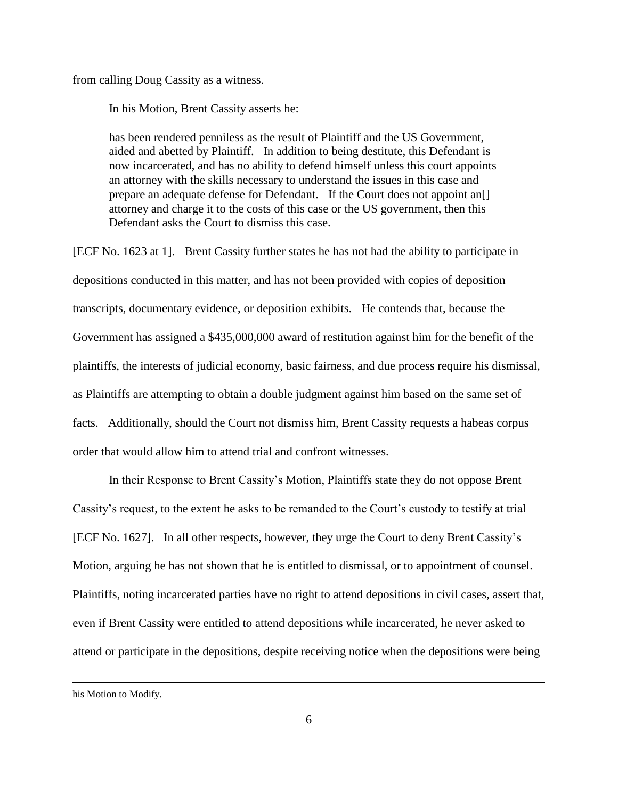from calling Doug Cassity as a witness.

In his Motion, Brent Cassity asserts he:

has been rendered penniless as the result of Plaintiff and the US Government, aided and abetted by Plaintiff. In addition to being destitute, this Defendant is now incarcerated, and has no ability to defend himself unless this court appoints an attorney with the skills necessary to understand the issues in this case and prepare an adequate defense for Defendant. If the Court does not appoint an[] attorney and charge it to the costs of this case or the US government, then this Defendant asks the Court to dismiss this case.

[ECF No. 1623 at 1]. Brent Cassity further states he has not had the ability to participate in depositions conducted in this matter, and has not been provided with copies of deposition transcripts, documentary evidence, or deposition exhibits. He contends that, because the Government has assigned a \$435,000,000 award of restitution against him for the benefit of the plaintiffs, the interests of judicial economy, basic fairness, and due process require his dismissal, as Plaintiffs are attempting to obtain a double judgment against him based on the same set of facts. Additionally, should the Court not dismiss him, Brent Cassity requests a habeas corpus order that would allow him to attend trial and confront witnesses.

In their Response to Brent Cassity"s Motion, Plaintiffs state they do not oppose Brent Cassity"s request, to the extent he asks to be remanded to the Court"s custody to testify at trial [ECF No. 1627]. In all other respects, however, they urge the Court to deny Brent Cassity"s Motion, arguing he has not shown that he is entitled to dismissal, or to appointment of counsel. Plaintiffs, noting incarcerated parties have no right to attend depositions in civil cases, assert that, even if Brent Cassity were entitled to attend depositions while incarcerated, he never asked to attend or participate in the depositions, despite receiving notice when the depositions were being

his Motion to Modify.

 $\overline{a}$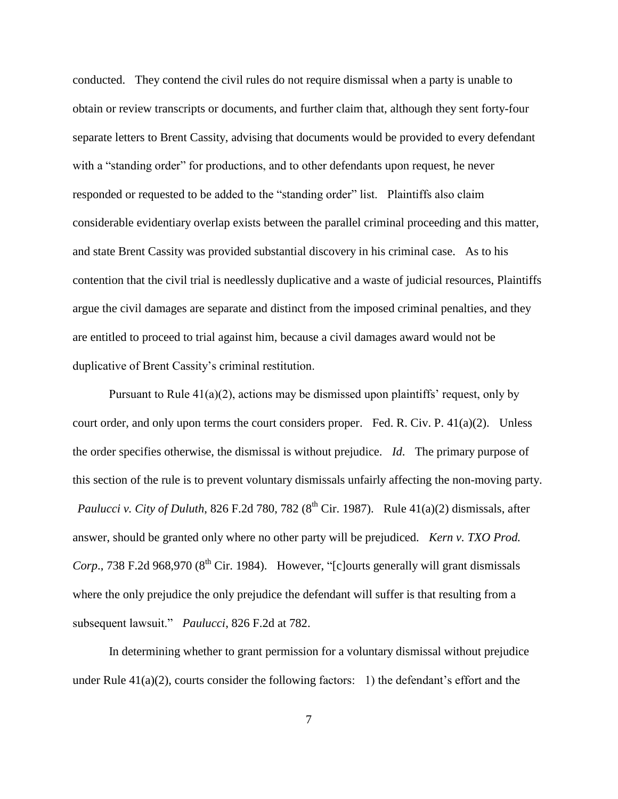conducted. They contend the civil rules do not require dismissal when a party is unable to obtain or review transcripts or documents, and further claim that, although they sent forty-four separate letters to Brent Cassity, advising that documents would be provided to every defendant with a "standing order" for productions, and to other defendants upon request, he never responded or requested to be added to the "standing order" list. Plaintiffs also claim considerable evidentiary overlap exists between the parallel criminal proceeding and this matter, and state Brent Cassity was provided substantial discovery in his criminal case. As to his contention that the civil trial is needlessly duplicative and a waste of judicial resources, Plaintiffs argue the civil damages are separate and distinct from the imposed criminal penalties, and they are entitled to proceed to trial against him, because a civil damages award would not be duplicative of Brent Cassity's criminal restitution.

Pursuant to Rule  $41(a)(2)$ , actions may be dismissed upon plaintiffs' request, only by court order, and only upon terms the court considers proper. Fed. R. Civ. P.  $41(a)(2)$ . Unless the order specifies otherwise, the dismissal is without prejudice. *Id*. The primary purpose of this section of the rule is to prevent voluntary dismissals unfairly affecting the non-moving party. *Paulucci v. City of Duluth*, 826 F.2d 780, 782 ( $8<sup>th</sup>$  Cir. 1987). Rule 41(a)(2) dismissals, after answer, should be granted only where no other party will be prejudiced. *Kern v. TXO Prod. Corp.*, 738 F.2d 968,970 ( $8<sup>th</sup>$  Cir. 1984). However, "[c]ourts generally will grant dismissals where the only prejudice the only prejudice the defendant will suffer is that resulting from a subsequent lawsuit." *Paulucci*, 826 F.2d at 782.

In determining whether to grant permission for a voluntary dismissal without prejudice under Rule  $41(a)(2)$ , courts consider the following factors: 1) the defendant's effort and the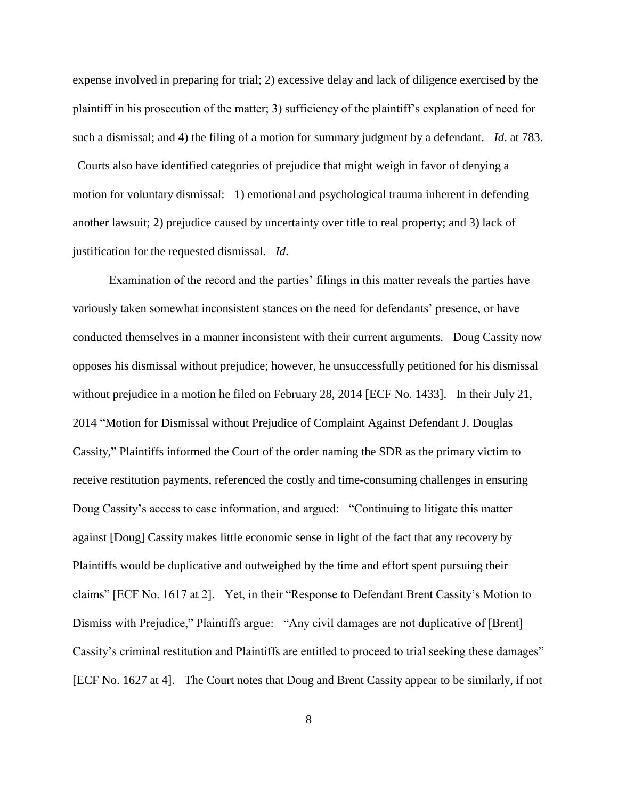expense involved in preparing for trial; 2) excessive delay and lack of diligence exercised by the plaintiff in his prosecution of the matter; 3) sufficiency of the plaintiff"s explanation of need for such a dismissal; and 4) the filing of a motion for summary judgment by a defendant. *Id*. at 783. Courts also have identified categories of prejudice that might weigh in favor of denying a motion for voluntary dismissal: 1) emotional and psychological trauma inherent in defending another lawsuit; 2) prejudice caused by uncertainty over title to real property; and 3) lack of justification for the requested dismissal. *Id*.

Examination of the record and the parties' filings in this matter reveals the parties have variously taken somewhat inconsistent stances on the need for defendants" presence, or have conducted themselves in a manner inconsistent with their current arguments. Doug Cassity now opposes his dismissal without prejudice; however, he unsuccessfully petitioned for his dismissal without prejudice in a motion he filed on February 28, 2014 [ECF No. 1433]. In their July 21, 2014 "Motion for Dismissal without Prejudice of Complaint Against Defendant J. Douglas Cassity," Plaintiffs informed the Court of the order naming the SDR as the primary victim to receive restitution payments, referenced the costly and time-consuming challenges in ensuring Doug Cassity"s access to case information, and argued: "Continuing to litigate this matter against [Doug] Cassity makes little economic sense in light of the fact that any recovery by Plaintiffs would be duplicative and outweighed by the time and effort spent pursuing their claims" [ECF No. 1617 at 2]. Yet, in their "Response to Defendant Brent Cassity"s Motion to Dismiss with Prejudice," Plaintiffs argue: "Any civil damages are not duplicative of [Brent] Cassity's criminal restitution and Plaintiffs are entitled to proceed to trial seeking these damages" [ECF No. 1627 at 4]. The Court notes that Doug and Brent Cassity appear to be similarly, if not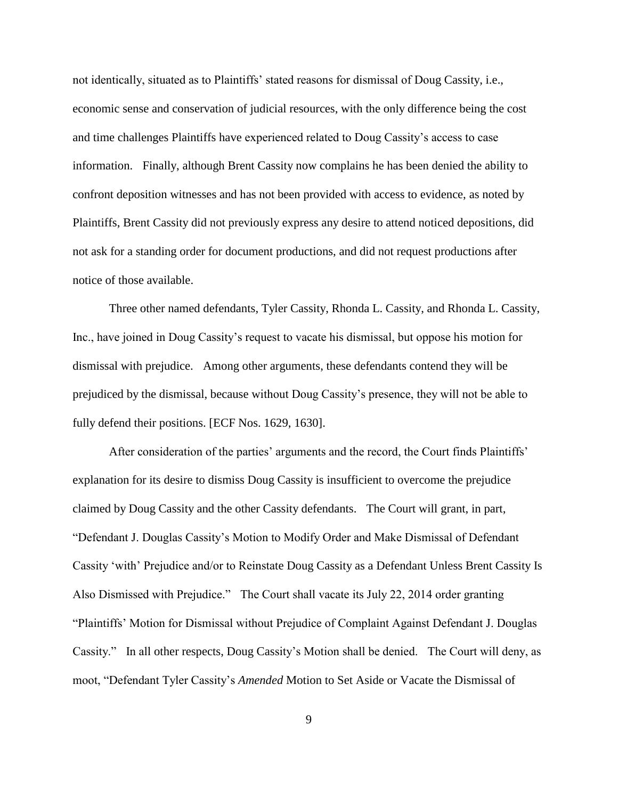not identically, situated as to Plaintiffs" stated reasons for dismissal of Doug Cassity, i.e., economic sense and conservation of judicial resources, with the only difference being the cost and time challenges Plaintiffs have experienced related to Doug Cassity"s access to case information. Finally, although Brent Cassity now complains he has been denied the ability to confront deposition witnesses and has not been provided with access to evidence, as noted by Plaintiffs, Brent Cassity did not previously express any desire to attend noticed depositions, did not ask for a standing order for document productions, and did not request productions after notice of those available.

Three other named defendants, Tyler Cassity, Rhonda L. Cassity, and Rhonda L. Cassity, Inc., have joined in Doug Cassity"s request to vacate his dismissal, but oppose his motion for dismissal with prejudice. Among other arguments, these defendants contend they will be prejudiced by the dismissal, because without Doug Cassity"s presence, they will not be able to fully defend their positions. [ECF Nos. 1629, 1630].

After consideration of the parties' arguments and the record, the Court finds Plaintiffs' explanation for its desire to dismiss Doug Cassity is insufficient to overcome the prejudice claimed by Doug Cassity and the other Cassity defendants. The Court will grant, in part, "Defendant J. Douglas Cassity"s Motion to Modify Order and Make Dismissal of Defendant Cassity "with" Prejudice and/or to Reinstate Doug Cassity as a Defendant Unless Brent Cassity Is Also Dismissed with Prejudice." The Court shall vacate its July 22, 2014 order granting "Plaintiffs" Motion for Dismissal without Prejudice of Complaint Against Defendant J. Douglas Cassity." In all other respects, Doug Cassity"s Motion shall be denied. The Court will deny, as moot, "Defendant Tyler Cassity"s *Amended* Motion to Set Aside or Vacate the Dismissal of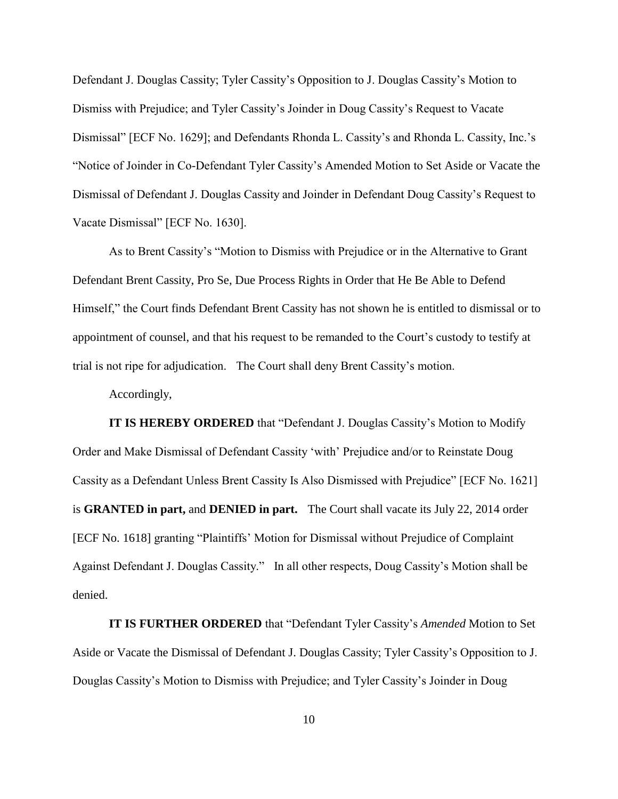Defendant J. Douglas Cassity; Tyler Cassity"s Opposition to J. Douglas Cassity"s Motion to Dismiss with Prejudice; and Tyler Cassity"s Joinder in Doug Cassity"s Request to Vacate Dismissal" [ECF No. 1629]; and Defendants Rhonda L. Cassity"s and Rhonda L. Cassity, Inc."s "Notice of Joinder in Co-Defendant Tyler Cassity"s Amended Motion to Set Aside or Vacate the Dismissal of Defendant J. Douglas Cassity and Joinder in Defendant Doug Cassity"s Request to Vacate Dismissal" [ECF No. 1630].

As to Brent Cassity"s "Motion to Dismiss with Prejudice or in the Alternative to Grant Defendant Brent Cassity, Pro Se, Due Process Rights in Order that He Be Able to Defend Himself," the Court finds Defendant Brent Cassity has not shown he is entitled to dismissal or to appointment of counsel, and that his request to be remanded to the Court's custody to testify at trial is not ripe for adjudication. The Court shall deny Brent Cassity"s motion.

Accordingly,

**IT IS HEREBY ORDERED** that "Defendant J. Douglas Cassity's Motion to Modify Order and Make Dismissal of Defendant Cassity "with" Prejudice and/or to Reinstate Doug Cassity as a Defendant Unless Brent Cassity Is Also Dismissed with Prejudice" [ECF No. 1621] is **GRANTED in part,** and **DENIED in part.** The Court shall vacate its July 22, 2014 order [ECF No. 1618] granting "Plaintiffs" Motion for Dismissal without Prejudice of Complaint Against Defendant J. Douglas Cassity." In all other respects, Doug Cassity"s Motion shall be denied.

**IT IS FURTHER ORDERED** that "Defendant Tyler Cassity"s *Amended* Motion to Set Aside or Vacate the Dismissal of Defendant J. Douglas Cassity; Tyler Cassity"s Opposition to J. Douglas Cassity"s Motion to Dismiss with Prejudice; and Tyler Cassity"s Joinder in Doug